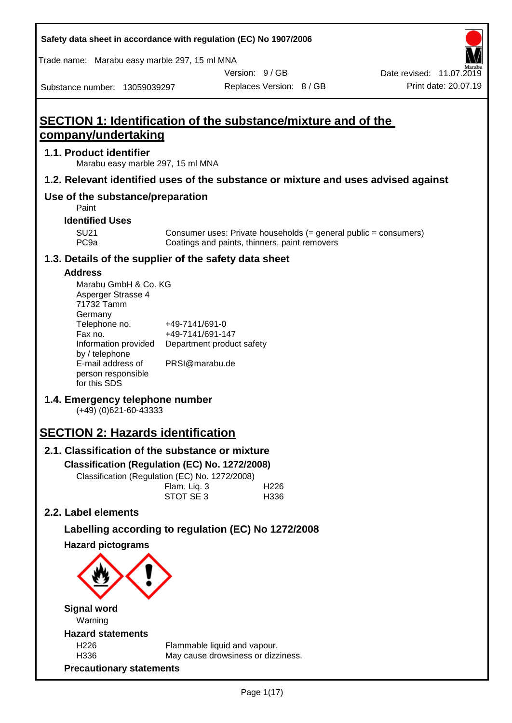| Safety data sheet in accordance with regulation (EC) No 1907/2006 |  |
|-------------------------------------------------------------------|--|
|-------------------------------------------------------------------|--|

Trade name: Marabu easy marble 297, 15 ml MNA

Version: 9 / GB

Replaces Version: 8 / GB Print date: 20.07.19 Date revised: 11.07.2019

Substance number: 13059039297

# **SECTION 1: Identification of the substance/mixture and of the company/undertaking**

### **1.1. Product identifier**

Marabu easy marble 297, 15 ml MNA

## **1.2. Relevant identified uses of the substance or mixture and uses advised against**

# **Use of the substance/preparation**

Paint

### **Identified Uses**

SU21 Consumer uses: Private households (= general public = consumers)<br>PC9a Coatings and paints, thinners, paint removers Coatings and paints, thinners, paint removers

### **1.3. Details of the supplier of the safety data sheet**

### **Address**

| Marabu GmbH & Co. KG |                           |
|----------------------|---------------------------|
| Asperger Strasse 4   |                           |
| 71732 Tamm           |                           |
| Germany              |                           |
| Telephone no.        | +49-7141/691-0            |
| Fax no.              | +49-7141/691-147          |
| Information provided | Department product safety |
| by / telephone       |                           |
| E-mail address of    | PRSI@marabu.de            |
| person responsible   |                           |
| for this SDS         |                           |

# **1.4. Emergency telephone number**

(+49) (0)621-60-43333

# **SECTION 2: Hazards identification**

# **2.1. Classification of the substance or mixture**

### **Classification (Regulation (EC) No. 1272/2008)**

Classification (Regulation (EC) No. 1272/2008)

|  | Flam. Liq. 3 | H <sub>226</sub> |
|--|--------------|------------------|
|  | STOT SE 3    | H336             |
|  |              |                  |

# **2.2. Label elements**

# **Labelling according to regulation (EC) No 1272/2008**

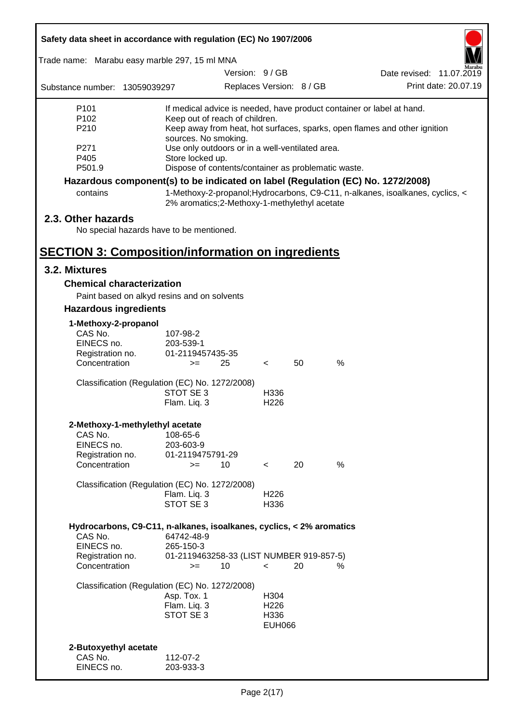| Safety data sheet in accordance with regulation (EC) No 1907/2006                                                                  |                                                                                                                               |               |                                                   |                          |                                                                                                                                                                  |
|------------------------------------------------------------------------------------------------------------------------------------|-------------------------------------------------------------------------------------------------------------------------------|---------------|---------------------------------------------------|--------------------------|------------------------------------------------------------------------------------------------------------------------------------------------------------------|
| Trade name: Marabu easy marble 297, 15 ml MNA                                                                                      |                                                                                                                               |               |                                                   |                          |                                                                                                                                                                  |
|                                                                                                                                    |                                                                                                                               | Version: 9/GB |                                                   |                          | Date revised: 11.07.2019                                                                                                                                         |
| Substance number: 13059039297                                                                                                      |                                                                                                                               |               |                                                   | Replaces Version: 8 / GB | Print date: 20.07.19                                                                                                                                             |
| P <sub>101</sub><br>P102<br>P210<br>P271<br>P405                                                                                   | Keep out of reach of children.<br>sources. No smoking.<br>Use only outdoors or in a well-ventilated area.<br>Store locked up. |               |                                                   |                          | If medical advice is needed, have product container or label at hand.<br>Keep away from heat, hot surfaces, sparks, open flames and other ignition               |
| P501.9                                                                                                                             | Dispose of contents/container as problematic waste.                                                                           |               |                                                   |                          |                                                                                                                                                                  |
| contains                                                                                                                           | 2% aromatics;2-Methoxy-1-methylethyl acetate                                                                                  |               |                                                   |                          | Hazardous component(s) to be indicated on label (Regulation (EC) No. 1272/2008)<br>1-Methoxy-2-propanol; Hydrocarbons, C9-C11, n-alkanes, isoalkanes, cyclics, < |
| 2.3. Other hazards<br>No special hazards have to be mentioned.                                                                     |                                                                                                                               |               |                                                   |                          |                                                                                                                                                                  |
| <b>SECTION 3: Composition/information on ingredients</b>                                                                           |                                                                                                                               |               |                                                   |                          |                                                                                                                                                                  |
| 3.2. Mixtures                                                                                                                      |                                                                                                                               |               |                                                   |                          |                                                                                                                                                                  |
| <b>Chemical characterization</b>                                                                                                   |                                                                                                                               |               |                                                   |                          |                                                                                                                                                                  |
| Paint based on alkyd resins and on solvents                                                                                        |                                                                                                                               |               |                                                   |                          |                                                                                                                                                                  |
| <b>Hazardous ingredients</b>                                                                                                       |                                                                                                                               |               |                                                   |                          |                                                                                                                                                                  |
| 1-Methoxy-2-propanol<br>CAS No.<br>EINECS no.<br>Registration no.<br>Concentration                                                 | 107-98-2<br>203-539-1<br>01-2119457435-35<br>$>=$                                                                             | 25            | $\lt$                                             | 50                       | %                                                                                                                                                                |
| Classification (Regulation (EC) No. 1272/2008)                                                                                     | STOT SE 3<br>Flam. Liq. 3                                                                                                     |               | H336<br>H <sub>226</sub>                          |                          |                                                                                                                                                                  |
| 2-Methoxy-1-methylethyl acetate<br>CAS No.<br>EINECS no.<br>Registration no.<br>Concentration                                      | 108-65-6<br>203-603-9<br>01-2119475791-29<br>$>=$                                                                             | 10            | $\overline{\phantom{a}}$                          | 20                       | $\%$                                                                                                                                                             |
| Classification (Regulation (EC) No. 1272/2008)                                                                                     | Flam. Liq. 3<br>STOT SE 3                                                                                                     |               | H226<br>H336                                      |                          |                                                                                                                                                                  |
| Hydrocarbons, C9-C11, n-alkanes, isoalkanes, cyclics, < 2% aromatics<br>CAS No.<br>EINECS no.<br>Registration no.<br>Concentration | 64742-48-9<br>265-150-3<br>01-2119463258-33 (LIST NUMBER 919-857-5)<br>$>=$                                                   | 10            | $\,<\,$                                           | 20                       | ℅                                                                                                                                                                |
| Classification (Regulation (EC) No. 1272/2008)                                                                                     | Asp. Tox. 1<br>Flam. Liq. 3<br>STOT SE 3                                                                                      |               | H304<br>H <sub>226</sub><br>H336<br><b>EUH066</b> |                          |                                                                                                                                                                  |
| 2-Butoxyethyl acetate<br>CAS No.<br>EINECS no.                                                                                     | 112-07-2<br>203-933-3                                                                                                         |               |                                                   |                          |                                                                                                                                                                  |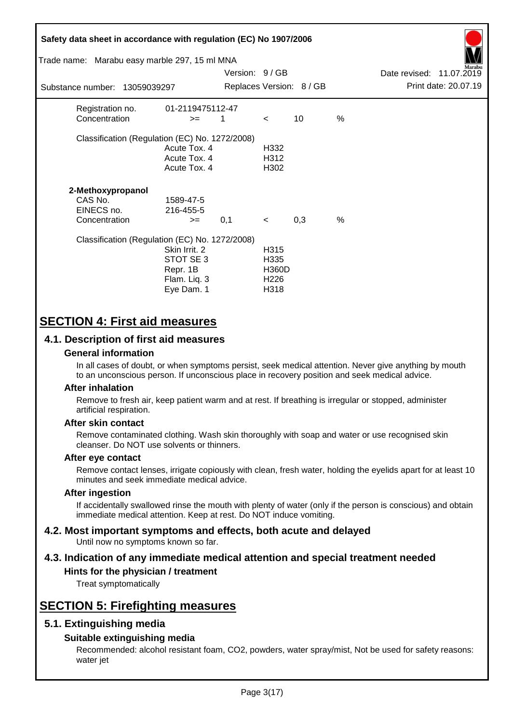| Safety data sheet in accordance with regulation (EC) No 1907/2006<br>Trade name: Marabu easy marble 297, 15 ml MNA<br>Substance number: 13059039297 |                                                                      | Version: 9 / GB |                                                          | Replaces Version: 8 / GB |   | Date revised: 11.07.2019 | Print date: 20.07.19 |
|-----------------------------------------------------------------------------------------------------------------------------------------------------|----------------------------------------------------------------------|-----------------|----------------------------------------------------------|--------------------------|---|--------------------------|----------------------|
|                                                                                                                                                     |                                                                      |                 |                                                          |                          |   |                          |                      |
| Registration no.<br>Concentration                                                                                                                   | 01-2119475112-47<br>$>=$                                             | 1               | $\lt$                                                    | 10                       | % |                          |                      |
| Classification (Regulation (EC) No. 1272/2008)                                                                                                      | Acute Tox, 4<br>Acute Tox. 4<br>Acute Tox. 4                         |                 | H332<br>H312<br>H302                                     |                          |   |                          |                      |
| 2-Methoxypropanol<br>CAS No.<br>EINECS no.<br>Concentration                                                                                         | 1589-47-5<br>216-455-5<br>$>=$                                       | 0,1             | $\prec$                                                  | 0,3                      | % |                          |                      |
| Classification (Regulation (EC) No. 1272/2008)                                                                                                      | Skin Irrit. 2<br>STOT SE 3<br>Repr. 1B<br>Flam. Liq. 3<br>Eye Dam. 1 |                 | H315<br>H335<br><b>H360D</b><br>H <sub>226</sub><br>H318 |                          |   |                          |                      |

# **SECTION 4: First aid measures**

## **4.1. Description of first aid measures**

### **General information**

In all cases of doubt, or when symptoms persist, seek medical attention. Never give anything by mouth to an unconscious person. If unconscious place in recovery position and seek medical advice.

#### **After inhalation**

Remove to fresh air, keep patient warm and at rest. If breathing is irregular or stopped, administer artificial respiration.

#### **After skin contact**

Remove contaminated clothing. Wash skin thoroughly with soap and water or use recognised skin cleanser. Do NOT use solvents or thinners.

#### **After eye contact**

Remove contact lenses, irrigate copiously with clean, fresh water, holding the eyelids apart for at least 10 minutes and seek immediate medical advice.

#### **After ingestion**

If accidentally swallowed rinse the mouth with plenty of water (only if the person is conscious) and obtain immediate medical attention. Keep at rest. Do NOT induce vomiting.

#### **4.2. Most important symptoms and effects, both acute and delayed** Until now no symptoms known so far.

# **4.3. Indication of any immediate medical attention and special treatment needed**

# **Hints for the physician / treatment**

Treat symptomatically

# **SECTION 5: Firefighting measures**

## **5.1. Extinguishing media**

### **Suitable extinguishing media**

Recommended: alcohol resistant foam, CO2, powders, water spray/mist, Not be used for safety reasons: water jet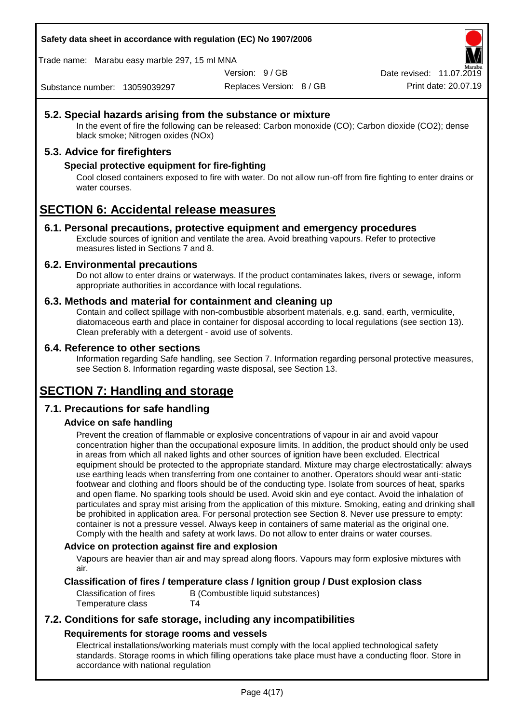**Safety data sheet in accordance with regulation (EC) No 1907/2006**

Trade name: Marabu easy marble 297, 15 ml MNA

Version: 9 / GB

Replaces Version: 8 / GB Print date: 20.07.19 Date revised: 11.07.2019

Substance number: 13059039297

## **5.2. Special hazards arising from the substance or mixture**

In the event of fire the following can be released: Carbon monoxide (CO); Carbon dioxide (CO2); dense black smoke; Nitrogen oxides (NOx)

# **5.3. Advice for firefighters**

### **Special protective equipment for fire-fighting**

Cool closed containers exposed to fire with water. Do not allow run-off from fire fighting to enter drains or water courses.

# **SECTION 6: Accidental release measures**

### **6.1. Personal precautions, protective equipment and emergency procedures**

Exclude sources of ignition and ventilate the area. Avoid breathing vapours. Refer to protective measures listed in Sections 7 and 8.

### **6.2. Environmental precautions**

Do not allow to enter drains or waterways. If the product contaminates lakes, rivers or sewage, inform appropriate authorities in accordance with local regulations.

### **6.3. Methods and material for containment and cleaning up**

Contain and collect spillage with non-combustible absorbent materials, e.g. sand, earth, vermiculite, diatomaceous earth and place in container for disposal according to local regulations (see section 13). Clean preferably with a detergent - avoid use of solvents.

### **6.4. Reference to other sections**

Information regarding Safe handling, see Section 7. Information regarding personal protective measures, see Section 8. Information regarding waste disposal, see Section 13.

# **SECTION 7: Handling and storage**

## **7.1. Precautions for safe handling**

## **Advice on safe handling**

Prevent the creation of flammable or explosive concentrations of vapour in air and avoid vapour concentration higher than the occupational exposure limits. In addition, the product should only be used in areas from which all naked lights and other sources of ignition have been excluded. Electrical equipment should be protected to the appropriate standard. Mixture may charge electrostatically: always use earthing leads when transferring from one container to another. Operators should wear anti-static footwear and clothing and floors should be of the conducting type. Isolate from sources of heat, sparks and open flame. No sparking tools should be used. Avoid skin and eye contact. Avoid the inhalation of particulates and spray mist arising from the application of this mixture. Smoking, eating and drinking shall be prohibited in application area. For personal protection see Section 8. Never use pressure to empty: container is not a pressure vessel. Always keep in containers of same material as the original one. Comply with the health and safety at work laws. Do not allow to enter drains or water courses.

### **Advice on protection against fire and explosion**

Vapours are heavier than air and may spread along floors. Vapours may form explosive mixtures with air.

## **Classification of fires / temperature class / Ignition group / Dust explosion class**

Classification of fires B (Combustible liquid substances) Temperature class T4

# **7.2. Conditions for safe storage, including any incompatibilities Requirements for storage rooms and vessels**

Electrical installations/working materials must comply with the local applied technological safety standards. Storage rooms in which filling operations take place must have a conducting floor. Store in accordance with national regulation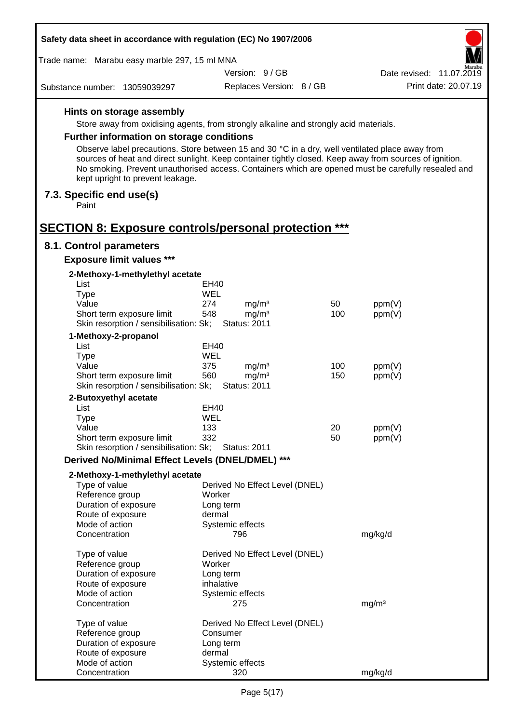| Safety data sheet in accordance with regulation (EC) No 1907/2006                               |                     |                                          |     |                                                                                                                                                                                                                |
|-------------------------------------------------------------------------------------------------|---------------------|------------------------------------------|-----|----------------------------------------------------------------------------------------------------------------------------------------------------------------------------------------------------------------|
| Trade name: Marabu easy marble 297, 15 ml MNA                                                   |                     |                                          |     |                                                                                                                                                                                                                |
|                                                                                                 |                     | Version: 9/GB                            |     | Date revised: 11.07.2019                                                                                                                                                                                       |
| Substance number: 13059039297                                                                   |                     | Replaces Version: 8 / GB                 |     | Print date: 20.07.19                                                                                                                                                                                           |
| Hints on storage assembly                                                                       |                     |                                          |     |                                                                                                                                                                                                                |
| Store away from oxidising agents, from strongly alkaline and strongly acid materials.           |                     |                                          |     |                                                                                                                                                                                                                |
| Further information on storage conditions                                                       |                     |                                          |     |                                                                                                                                                                                                                |
| Observe label precautions. Store between 15 and 30 °C in a dry, well ventilated place away from |                     |                                          |     |                                                                                                                                                                                                                |
| kept upright to prevent leakage.                                                                |                     |                                          |     | sources of heat and direct sunlight. Keep container tightly closed. Keep away from sources of ignition.<br>No smoking. Prevent unauthorised access. Containers which are opened must be carefully resealed and |
| 7.3. Specific end use(s)<br>Paint                                                               |                     |                                          |     |                                                                                                                                                                                                                |
| <b>SECTION 8: Exposure controls/personal protection ***</b>                                     |                     |                                          |     |                                                                                                                                                                                                                |
| 8.1. Control parameters                                                                         |                     |                                          |     |                                                                                                                                                                                                                |
| <b>Exposure limit values ***</b>                                                                |                     |                                          |     |                                                                                                                                                                                                                |
| 2-Methoxy-1-methylethyl acetate                                                                 |                     |                                          |     |                                                                                                                                                                                                                |
| List<br><b>Type</b>                                                                             | EH40<br><b>WEL</b>  |                                          |     |                                                                                                                                                                                                                |
| Value                                                                                           | 274                 | mg/m <sup>3</sup>                        | 50  | ppm(V)                                                                                                                                                                                                         |
| Short term exposure limit                                                                       | 548                 | mg/m <sup>3</sup>                        | 100 | ppm(V)                                                                                                                                                                                                         |
| Skin resorption / sensibilisation: Sk;                                                          |                     | <b>Status: 2011</b>                      |     |                                                                                                                                                                                                                |
| 1-Methoxy-2-propanol                                                                            |                     |                                          |     |                                                                                                                                                                                                                |
| List                                                                                            | EH40                |                                          |     |                                                                                                                                                                                                                |
| <b>Type</b>                                                                                     | <b>WEL</b>          |                                          |     |                                                                                                                                                                                                                |
| Value                                                                                           | 375                 | mg/m <sup>3</sup>                        | 100 | ppm(V)                                                                                                                                                                                                         |
| Short term exposure limit<br>Skin resorption / sensibilisation: Sk;                             | 560                 | mg/m <sup>3</sup><br><b>Status: 2011</b> | 150 | ppm(V)                                                                                                                                                                                                         |
| 2-Butoxyethyl acetate                                                                           |                     |                                          |     |                                                                                                                                                                                                                |
| List                                                                                            | EH40                |                                          |     |                                                                                                                                                                                                                |
| <b>Type</b>                                                                                     | WEL                 |                                          |     |                                                                                                                                                                                                                |
| Value                                                                                           | 133                 |                                          | 20  | ppm(V)                                                                                                                                                                                                         |
| Short term exposure limit                                                                       | 332                 |                                          | 50  | ppm(V)                                                                                                                                                                                                         |
| Skin resorption / sensibilisation: Sk;                                                          |                     | <b>Status: 2011</b>                      |     |                                                                                                                                                                                                                |
| Derived No/Minimal Effect Levels (DNEL/DMEL) ***                                                |                     |                                          |     |                                                                                                                                                                                                                |
| 2-Methoxy-1-methylethyl acetate                                                                 |                     |                                          |     |                                                                                                                                                                                                                |
| Type of value                                                                                   |                     | Derived No Effect Level (DNEL)           |     |                                                                                                                                                                                                                |
| Reference group<br>Duration of exposure                                                         | Worker<br>Long term |                                          |     |                                                                                                                                                                                                                |
| Route of exposure                                                                               | dermal              |                                          |     |                                                                                                                                                                                                                |
| Mode of action                                                                                  |                     | Systemic effects                         |     |                                                                                                                                                                                                                |
| Concentration                                                                                   |                     | 796                                      |     | mg/kg/d                                                                                                                                                                                                        |
| Type of value                                                                                   |                     | Derived No Effect Level (DNEL)           |     |                                                                                                                                                                                                                |
| Reference group                                                                                 | Worker              |                                          |     |                                                                                                                                                                                                                |
| Duration of exposure                                                                            | Long term           |                                          |     |                                                                                                                                                                                                                |
| Route of exposure<br>Mode of action                                                             | inhalative          | Systemic effects                         |     |                                                                                                                                                                                                                |
| Concentration                                                                                   |                     | 275                                      |     | mg/m <sup>3</sup>                                                                                                                                                                                              |
| Type of value                                                                                   |                     | Derived No Effect Level (DNEL)           |     |                                                                                                                                                                                                                |
| Reference group                                                                                 | Consumer            |                                          |     |                                                                                                                                                                                                                |
| Duration of exposure                                                                            | Long term           |                                          |     |                                                                                                                                                                                                                |
| Route of exposure                                                                               | dermal              |                                          |     |                                                                                                                                                                                                                |
| Mode of action                                                                                  |                     | Systemic effects                         |     |                                                                                                                                                                                                                |
| Concentration                                                                                   |                     | 320                                      |     | mg/kg/d                                                                                                                                                                                                        |

l,

 $\overline{\Gamma}$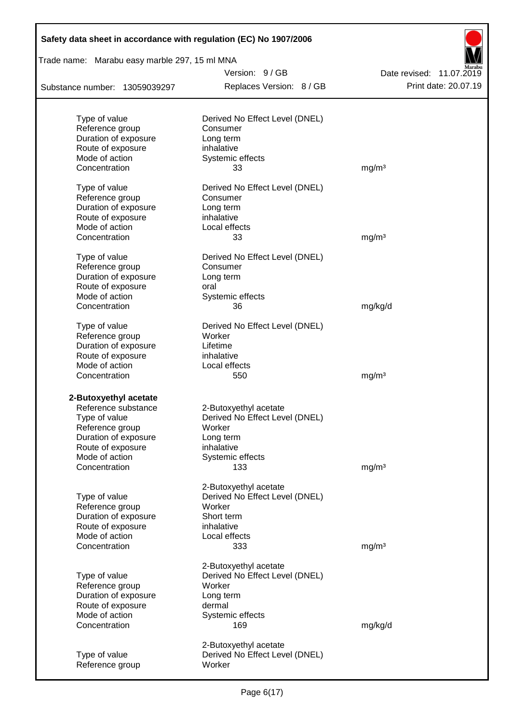| Safety data sheet in accordance with regulation (EC) No 1907/2006 |                                |                          |  |  |
|-------------------------------------------------------------------|--------------------------------|--------------------------|--|--|
| Trade name: Marabu easy marble 297, 15 ml MNA                     | Version: 9/GB                  | Date revised: 11.07.2019 |  |  |
| Substance number: 13059039297                                     | Replaces Version: 8 / GB       | Print date: 20.07.19     |  |  |
|                                                                   |                                |                          |  |  |
| Type of value                                                     | Derived No Effect Level (DNEL) |                          |  |  |
| Reference group                                                   | Consumer                       |                          |  |  |
| Duration of exposure                                              | Long term                      |                          |  |  |
| Route of exposure<br>Mode of action                               | inhalative<br>Systemic effects |                          |  |  |
| Concentration                                                     | 33                             | mg/m <sup>3</sup>        |  |  |
|                                                                   |                                |                          |  |  |
| Type of value                                                     | Derived No Effect Level (DNEL) |                          |  |  |
| Reference group                                                   | Consumer                       |                          |  |  |
| Duration of exposure                                              | Long term                      |                          |  |  |
| Route of exposure                                                 | inhalative                     |                          |  |  |
| Mode of action                                                    | Local effects                  |                          |  |  |
| Concentration                                                     | 33                             | mg/m <sup>3</sup>        |  |  |
|                                                                   |                                |                          |  |  |
| Type of value                                                     | Derived No Effect Level (DNEL) |                          |  |  |
| Reference group                                                   | Consumer                       |                          |  |  |
| Duration of exposure<br>Route of exposure                         | Long term<br>oral              |                          |  |  |
| Mode of action                                                    | Systemic effects               |                          |  |  |
| Concentration                                                     | 36                             | mg/kg/d                  |  |  |
|                                                                   |                                |                          |  |  |
| Type of value                                                     | Derived No Effect Level (DNEL) |                          |  |  |
| Reference group                                                   | Worker                         |                          |  |  |
| Duration of exposure                                              | Lifetime                       |                          |  |  |
| Route of exposure                                                 | inhalative                     |                          |  |  |
| Mode of action                                                    | Local effects                  |                          |  |  |
| Concentration                                                     | 550                            | mg/m <sup>3</sup>        |  |  |
| 2-Butoxyethyl acetate                                             |                                |                          |  |  |
| Reference substance                                               | 2-Butoxyethyl acetate          |                          |  |  |
| Type of value                                                     | Derived No Effect Level (DNEL) |                          |  |  |
| Reference group                                                   | Worker                         |                          |  |  |
| Duration of exposure                                              | Long term                      |                          |  |  |
| Route of exposure                                                 | inhalative                     |                          |  |  |
| Mode of action                                                    | Systemic effects               |                          |  |  |
| Concentration                                                     | 133                            | mg/m <sup>3</sup>        |  |  |
|                                                                   | 2-Butoxyethyl acetate          |                          |  |  |
| Type of value                                                     | Derived No Effect Level (DNEL) |                          |  |  |
| Reference group                                                   | Worker                         |                          |  |  |
| Duration of exposure                                              | Short term                     |                          |  |  |
| Route of exposure                                                 | inhalative                     |                          |  |  |
| Mode of action                                                    | Local effects                  |                          |  |  |
| Concentration                                                     | 333                            | mg/m <sup>3</sup>        |  |  |
|                                                                   | 2-Butoxyethyl acetate          |                          |  |  |
| Type of value                                                     | Derived No Effect Level (DNEL) |                          |  |  |
| Reference group                                                   | Worker                         |                          |  |  |
| Duration of exposure                                              | Long term                      |                          |  |  |
| Route of exposure                                                 | dermal                         |                          |  |  |
| Mode of action                                                    | Systemic effects               |                          |  |  |
| Concentration                                                     | 169                            | mg/kg/d                  |  |  |
|                                                                   |                                |                          |  |  |
|                                                                   | 2-Butoxyethyl acetate          |                          |  |  |
| Type of value                                                     | Derived No Effect Level (DNEL) |                          |  |  |
| Reference group                                                   | Worker                         |                          |  |  |

Г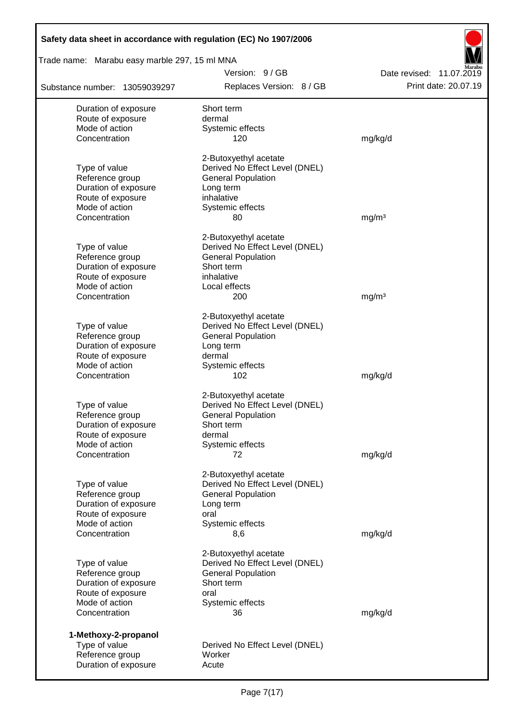| Safety data sheet in accordance with regulation (EC) No 1907/2006 |                                                             |                          |
|-------------------------------------------------------------------|-------------------------------------------------------------|--------------------------|
| Trade name: Marabu easy marble 297, 15 ml MNA                     |                                                             |                          |
|                                                                   | Version: 9/GB                                               | Date revised: 11.07.2019 |
| Substance number: 13059039297                                     | Replaces Version: 8 / GB                                    | Print date: 20.07.19     |
| Duration of exposure                                              | Short term                                                  |                          |
| Route of exposure                                                 | dermal                                                      |                          |
| Mode of action                                                    | Systemic effects                                            |                          |
| Concentration                                                     | 120                                                         | mg/kg/d                  |
|                                                                   | 2-Butoxyethyl acetate                                       |                          |
| Type of value                                                     | Derived No Effect Level (DNEL)                              |                          |
| Reference group                                                   | <b>General Population</b>                                   |                          |
| Duration of exposure<br>Route of exposure                         | Long term<br>inhalative                                     |                          |
| Mode of action                                                    | Systemic effects                                            |                          |
| Concentration                                                     | 80                                                          | mg/m <sup>3</sup>        |
|                                                                   |                                                             |                          |
|                                                                   | 2-Butoxyethyl acetate                                       |                          |
| Type of value<br>Reference group                                  | Derived No Effect Level (DNEL)<br><b>General Population</b> |                          |
| Duration of exposure                                              | Short term                                                  |                          |
| Route of exposure                                                 | inhalative                                                  |                          |
| Mode of action                                                    | Local effects                                               |                          |
| Concentration                                                     | 200                                                         | mg/m <sup>3</sup>        |
|                                                                   | 2-Butoxyethyl acetate                                       |                          |
| Type of value                                                     | Derived No Effect Level (DNEL)                              |                          |
| Reference group                                                   | <b>General Population</b>                                   |                          |
| Duration of exposure                                              | Long term                                                   |                          |
| Route of exposure                                                 | dermal                                                      |                          |
| Mode of action<br>Concentration                                   | Systemic effects<br>102                                     | mg/kg/d                  |
|                                                                   |                                                             |                          |
| Type of value                                                     | 2-Butoxyethyl acetate<br>Derived No Effect Level (DNEL)     |                          |
| Reference group                                                   | <b>General Population</b>                                   |                          |
| Duration of exposure                                              | Short term                                                  |                          |
| Route of exposure                                                 | dermal                                                      |                          |
| Mode of action                                                    | Systemic effects                                            |                          |
| Concentration                                                     | 72                                                          | mg/kg/d                  |
|                                                                   | 2-Butoxyethyl acetate                                       |                          |
| Type of value                                                     | Derived No Effect Level (DNEL)                              |                          |
| Reference group                                                   | <b>General Population</b>                                   |                          |
| Duration of exposure<br>Route of exposure                         | Long term<br>oral                                           |                          |
| Mode of action                                                    | Systemic effects                                            |                          |
| Concentration                                                     | 8,6                                                         | mg/kg/d                  |
|                                                                   | 2-Butoxyethyl acetate                                       |                          |
| Type of value                                                     | Derived No Effect Level (DNEL)                              |                          |
| Reference group                                                   | <b>General Population</b>                                   |                          |
| Duration of exposure                                              | Short term                                                  |                          |
| Route of exposure                                                 | oral                                                        |                          |
| Mode of action                                                    | Systemic effects                                            |                          |
| Concentration                                                     | 36                                                          | mg/kg/d                  |
| 1-Methoxy-2-propanol                                              |                                                             |                          |
| Type of value                                                     | Derived No Effect Level (DNEL)                              |                          |
| Reference group                                                   | Worker                                                      |                          |
| Duration of exposure                                              | Acute                                                       |                          |

Г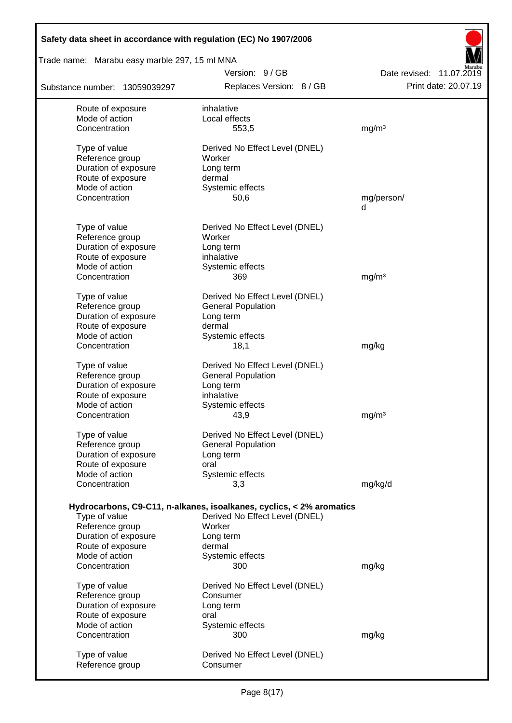| Safety data sheet in accordance with regulation (EC) No 1907/2006 |                                                                      |                          |
|-------------------------------------------------------------------|----------------------------------------------------------------------|--------------------------|
| Trade name: Marabu easy marble 297, 15 ml MNA                     |                                                                      |                          |
|                                                                   | Version: 9/GB                                                        | Date revised: 11.07.2019 |
| Substance number: 13059039297                                     | Replaces Version: 8 / GB                                             | Print date: 20.07.19     |
| Route of exposure                                                 | inhalative                                                           |                          |
| Mode of action                                                    | Local effects                                                        |                          |
| Concentration                                                     | 553,5                                                                | mg/m <sup>3</sup>        |
| Type of value                                                     | Derived No Effect Level (DNEL)                                       |                          |
| Reference group                                                   | Worker                                                               |                          |
| Duration of exposure                                              | Long term                                                            |                          |
| Route of exposure                                                 | dermal                                                               |                          |
| Mode of action<br>Concentration                                   | Systemic effects<br>50,6                                             | mg/person/               |
|                                                                   |                                                                      | d                        |
| Type of value                                                     | Derived No Effect Level (DNEL)                                       |                          |
| Reference group                                                   | Worker                                                               |                          |
| Duration of exposure                                              | Long term                                                            |                          |
| Route of exposure                                                 | inhalative                                                           |                          |
| Mode of action                                                    | Systemic effects                                                     |                          |
| Concentration                                                     | 369                                                                  | mg/m <sup>3</sup>        |
| Type of value                                                     | Derived No Effect Level (DNEL)                                       |                          |
| Reference group                                                   | <b>General Population</b>                                            |                          |
| Duration of exposure                                              | Long term                                                            |                          |
| Route of exposure                                                 | dermal                                                               |                          |
| Mode of action                                                    | Systemic effects                                                     |                          |
| Concentration                                                     | 18,1                                                                 | mg/kg                    |
| Type of value                                                     | Derived No Effect Level (DNEL)                                       |                          |
| Reference group                                                   | <b>General Population</b>                                            |                          |
| Duration of exposure                                              | Long term                                                            |                          |
| Route of exposure                                                 | inhalative                                                           |                          |
| Mode of action                                                    | Systemic effects                                                     |                          |
| Concentration                                                     | 43,9                                                                 | mg/m <sup>3</sup>        |
| Type of value                                                     | Derived No Effect Level (DNEL)                                       |                          |
| Reference group                                                   | <b>General Population</b>                                            |                          |
| Duration of exposure                                              | Long term                                                            |                          |
| Route of exposure                                                 | oral                                                                 |                          |
| Mode of action                                                    | Systemic effects                                                     |                          |
| Concentration                                                     | 3,3                                                                  | mg/kg/d                  |
|                                                                   | Hydrocarbons, C9-C11, n-alkanes, isoalkanes, cyclics, < 2% aromatics |                          |
| Type of value                                                     | Derived No Effect Level (DNEL)                                       |                          |
| Reference group                                                   | Worker                                                               |                          |
| Duration of exposure                                              | Long term                                                            |                          |
| Route of exposure                                                 | dermal                                                               |                          |
| Mode of action                                                    | Systemic effects                                                     |                          |
| Concentration                                                     | 300                                                                  | mg/kg                    |
| Type of value                                                     | Derived No Effect Level (DNEL)                                       |                          |
| Reference group                                                   | Consumer                                                             |                          |
| Duration of exposure                                              | Long term                                                            |                          |
| Route of exposure                                                 | oral                                                                 |                          |
| Mode of action                                                    | Systemic effects                                                     |                          |
| Concentration                                                     | 300                                                                  | mg/kg                    |
| Type of value                                                     | Derived No Effect Level (DNEL)                                       |                          |
| Reference group                                                   | Consumer                                                             |                          |
|                                                                   |                                                                      |                          |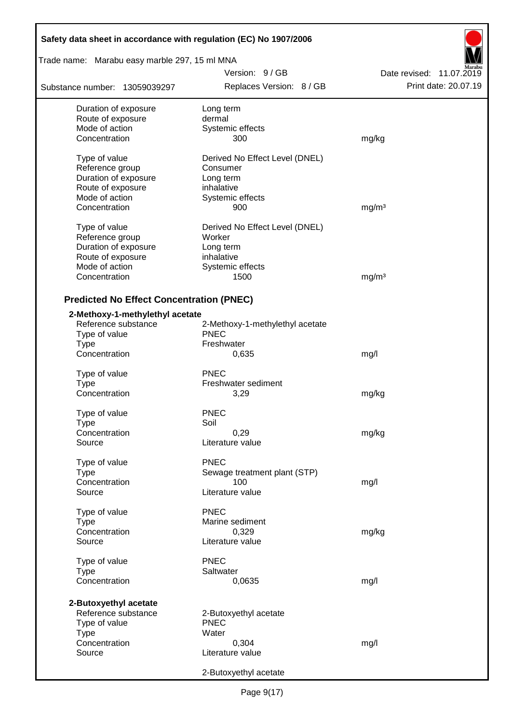| Safety data sheet in accordance with regulation (EC) No 1907/2006 |                                           |                                                  |  |
|-------------------------------------------------------------------|-------------------------------------------|--------------------------------------------------|--|
| Trade name: Marabu easy marble 297, 15 ml MNA                     |                                           |                                                  |  |
| Substance number: 13059039297                                     | Version: 9/GB<br>Replaces Version: 8 / GB | Date revised: 11.07.2019<br>Print date: 20.07.19 |  |
| Duration of exposure                                              | Long term                                 |                                                  |  |
| Route of exposure                                                 | dermal                                    |                                                  |  |
| Mode of action                                                    | Systemic effects                          |                                                  |  |
| Concentration                                                     | 300                                       | mg/kg                                            |  |
| Type of value                                                     | Derived No Effect Level (DNEL)            |                                                  |  |
| Reference group                                                   | Consumer                                  |                                                  |  |
| Duration of exposure                                              | Long term                                 |                                                  |  |
| Route of exposure                                                 | inhalative                                |                                                  |  |
| Mode of action                                                    | Systemic effects                          |                                                  |  |
| Concentration                                                     | 900                                       | mg/m <sup>3</sup>                                |  |
| Type of value                                                     | Derived No Effect Level (DNEL)            |                                                  |  |
| Reference group                                                   | Worker                                    |                                                  |  |
| Duration of exposure                                              | Long term                                 |                                                  |  |
| Route of exposure                                                 | inhalative                                |                                                  |  |
| Mode of action                                                    | Systemic effects                          |                                                  |  |
| Concentration                                                     | 1500                                      | mg/m <sup>3</sup>                                |  |
|                                                                   |                                           |                                                  |  |
| <b>Predicted No Effect Concentration (PNEC)</b>                   |                                           |                                                  |  |
| 2-Methoxy-1-methylethyl acetate                                   |                                           |                                                  |  |
| Reference substance                                               | 2-Methoxy-1-methylethyl acetate           |                                                  |  |
| Type of value                                                     | <b>PNEC</b>                               |                                                  |  |
| <b>Type</b>                                                       | Freshwater                                |                                                  |  |
| Concentration                                                     | 0,635                                     | mg/l                                             |  |
| Type of value                                                     | PNEC                                      |                                                  |  |
| Type                                                              | Freshwater sediment                       |                                                  |  |
| Concentration                                                     | 3,29                                      | mg/kg                                            |  |
| Type of value                                                     | <b>PNEC</b>                               |                                                  |  |
| Type                                                              | Soil                                      |                                                  |  |
| Concentration                                                     | 0,29                                      | mg/kg                                            |  |
| Source                                                            | Literature value                          |                                                  |  |
| Type of value                                                     | <b>PNEC</b>                               |                                                  |  |
| <b>Type</b>                                                       | Sewage treatment plant (STP)              |                                                  |  |
| Concentration                                                     | 100                                       | mg/l                                             |  |
| Source                                                            | Literature value                          |                                                  |  |
| Type of value                                                     | <b>PNEC</b>                               |                                                  |  |
| Type                                                              | Marine sediment                           |                                                  |  |
| Concentration                                                     | 0,329                                     | mg/kg                                            |  |
| Source                                                            | Literature value                          |                                                  |  |
| Type of value                                                     | <b>PNEC</b>                               |                                                  |  |
| <b>Type</b>                                                       | Saltwater                                 |                                                  |  |
| Concentration                                                     | 0,0635                                    | mg/l                                             |  |
|                                                                   |                                           |                                                  |  |
| 2-Butoxyethyl acetate                                             |                                           |                                                  |  |
| Reference substance                                               | 2-Butoxyethyl acetate<br><b>PNEC</b>      |                                                  |  |
| Type of value                                                     | Water                                     |                                                  |  |
| <b>Type</b><br>Concentration                                      | 0,304                                     |                                                  |  |
| Source                                                            | Literature value                          | mg/l                                             |  |
|                                                                   |                                           |                                                  |  |
|                                                                   | 2-Butoxyethyl acetate                     |                                                  |  |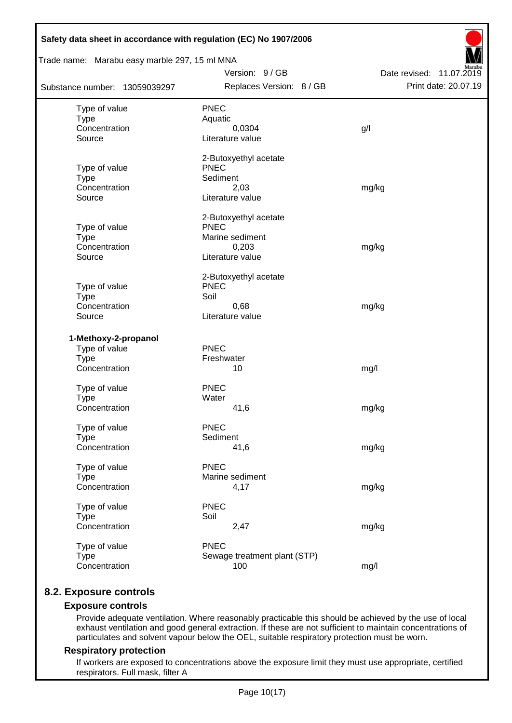| Safety data sheet in accordance with regulation (EC) No 1907/2006<br>Trade name: Marabu easy marble 297, 15 ml MNA |                                      |                          |  |  |
|--------------------------------------------------------------------------------------------------------------------|--------------------------------------|--------------------------|--|--|
|                                                                                                                    | Version: 9 / GB                      | Date revised: 11.07.2019 |  |  |
| Substance number: 13059039297                                                                                      | Replaces Version: 8 / GB             | Print date: 20.07.19     |  |  |
| Type of value                                                                                                      | <b>PNEC</b>                          |                          |  |  |
| <b>Type</b>                                                                                                        | Aquatic                              |                          |  |  |
| Concentration                                                                                                      | 0,0304                               | g/l                      |  |  |
| Source                                                                                                             | Literature value                     |                          |  |  |
|                                                                                                                    | 2-Butoxyethyl acetate                |                          |  |  |
| Type of value                                                                                                      | <b>PNEC</b>                          |                          |  |  |
| <b>Type</b><br>Concentration                                                                                       | Sediment<br>2,03                     |                          |  |  |
| Source                                                                                                             | Literature value                     | mg/kg                    |  |  |
|                                                                                                                    |                                      |                          |  |  |
|                                                                                                                    | 2-Butoxyethyl acetate<br><b>PNEC</b> |                          |  |  |
| Type of value<br><b>Type</b>                                                                                       | Marine sediment                      |                          |  |  |
| Concentration                                                                                                      | 0,203                                | mg/kg                    |  |  |
| Source                                                                                                             | Literature value                     |                          |  |  |
|                                                                                                                    | 2-Butoxyethyl acetate                |                          |  |  |
| Type of value                                                                                                      | <b>PNEC</b>                          |                          |  |  |
| <b>Type</b>                                                                                                        | Soil                                 |                          |  |  |
| Concentration                                                                                                      | 0,68                                 | mg/kg                    |  |  |
| Source                                                                                                             | Literature value                     |                          |  |  |
| 1-Methoxy-2-propanol                                                                                               |                                      |                          |  |  |
| Type of value                                                                                                      | PNEC                                 |                          |  |  |
| <b>Type</b>                                                                                                        | Freshwater                           |                          |  |  |
| Concentration                                                                                                      | 10                                   | mg/l                     |  |  |
| Type of value                                                                                                      | <b>PNEC</b>                          |                          |  |  |
| <b>Type</b>                                                                                                        | Water                                |                          |  |  |
| Concentration                                                                                                      | 41,6                                 | mg/kg                    |  |  |
| Type of value                                                                                                      | <b>PNEC</b>                          |                          |  |  |
| <b>Type</b>                                                                                                        | Sediment                             |                          |  |  |
| Concentration                                                                                                      | 41,6                                 | mg/kg                    |  |  |
| Type of value                                                                                                      | <b>PNEC</b>                          |                          |  |  |
| <b>Type</b>                                                                                                        | Marine sediment                      |                          |  |  |
| Concentration                                                                                                      | 4,17                                 | mg/kg                    |  |  |
| Type of value                                                                                                      | <b>PNEC</b>                          |                          |  |  |
| <b>Type</b>                                                                                                        | Soil                                 |                          |  |  |
| Concentration                                                                                                      | 2,47                                 | mg/kg                    |  |  |
| Type of value                                                                                                      | <b>PNEC</b>                          |                          |  |  |
| <b>Type</b>                                                                                                        | Sewage treatment plant (STP)         |                          |  |  |
| Concentration                                                                                                      | 100                                  | mg/l                     |  |  |

# **8.2. Exposure controls**

### **Exposure controls**

Provide adequate ventilation. Where reasonably practicable this should be achieved by the use of local exhaust ventilation and good general extraction. If these are not sufficient to maintain concentrations of particulates and solvent vapour below the OEL, suitable respiratory protection must be worn.

#### **Respiratory protection**

If workers are exposed to concentrations above the exposure limit they must use appropriate, certified respirators. Full mask, filter A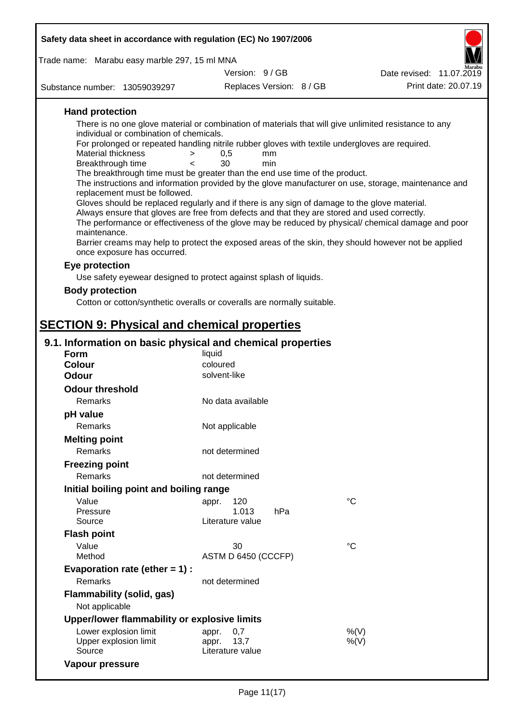| Safety data sheet in accordance with regulation (EC) No 1907/2006                                                                   |                                   |     |                                                                                                      |
|-------------------------------------------------------------------------------------------------------------------------------------|-----------------------------------|-----|------------------------------------------------------------------------------------------------------|
| Trade name: Marabu easy marble 297, 15 ml MNA                                                                                       |                                   |     |                                                                                                      |
|                                                                                                                                     | Version: 9 / GB                   |     | Date revised: 11.07.2019                                                                             |
| Substance number: 13059039297                                                                                                       | Replaces Version: 8 / GB          |     | Print date: 20.07.19                                                                                 |
| <b>Hand protection</b>                                                                                                              |                                   |     |                                                                                                      |
| There is no one glove material or combination of materials that will give unlimited resistance to any                               |                                   |     |                                                                                                      |
| individual or combination of chemicals.                                                                                             |                                   |     |                                                                                                      |
| For prolonged or repeated handling nitrile rubber gloves with textile undergloves are required.<br>Material thickness<br>>          | 0,5                               | mm  |                                                                                                      |
| Breakthrough time<br>≺                                                                                                              | 30                                | min |                                                                                                      |
| The breakthrough time must be greater than the end use time of the product.                                                         |                                   |     |                                                                                                      |
|                                                                                                                                     |                                   |     | The instructions and information provided by the glove manufacturer on use, storage, maintenance and |
| replacement must be followed.<br>Gloves should be replaced regularly and if there is any sign of damage to the glove material.      |                                   |     |                                                                                                      |
| Always ensure that gloves are free from defects and that they are stored and used correctly.                                        |                                   |     |                                                                                                      |
|                                                                                                                                     |                                   |     | The performance or effectiveness of the glove may be reduced by physical/ chemical damage and poor   |
| maintenance.                                                                                                                        |                                   |     |                                                                                                      |
| Barrier creams may help to protect the exposed areas of the skin, they should however not be applied<br>once exposure has occurred. |                                   |     |                                                                                                      |
| Eye protection                                                                                                                      |                                   |     |                                                                                                      |
| Use safety eyewear designed to protect against splash of liquids.                                                                   |                                   |     |                                                                                                      |
| <b>Body protection</b>                                                                                                              |                                   |     |                                                                                                      |
| Cotton or cotton/synthetic overalls or coveralls are normally suitable.                                                             |                                   |     |                                                                                                      |
|                                                                                                                                     |                                   |     |                                                                                                      |
| <b>SECTION 9: Physical and chemical properties</b>                                                                                  |                                   |     |                                                                                                      |
|                                                                                                                                     |                                   |     |                                                                                                      |
| 9.1. Information on basic physical and chemical properties<br><b>Form</b>                                                           | liquid                            |     |                                                                                                      |
| <b>Colour</b>                                                                                                                       | coloured                          |     |                                                                                                      |
| <b>Odour</b>                                                                                                                        | solvent-like                      |     |                                                                                                      |
| <b>Odour threshold</b>                                                                                                              |                                   |     |                                                                                                      |
| Remarks                                                                                                                             | No data available                 |     |                                                                                                      |
| pH value                                                                                                                            |                                   |     |                                                                                                      |
| Remarks                                                                                                                             | Not applicable                    |     |                                                                                                      |
| <b>Melting point</b>                                                                                                                |                                   |     |                                                                                                      |
| Remarks                                                                                                                             | not determined                    |     |                                                                                                      |
| <b>Freezing point</b>                                                                                                               |                                   |     |                                                                                                      |
| <b>Remarks</b>                                                                                                                      | not determined                    |     |                                                                                                      |
| Initial boiling point and boiling range                                                                                             |                                   |     |                                                                                                      |
| Value                                                                                                                               | 120<br>appr.                      |     | $^{\circ}C$                                                                                          |
| Pressure                                                                                                                            | 1.013                             | hPa |                                                                                                      |
| Source                                                                                                                              | Literature value                  |     |                                                                                                      |
| <b>Flash point</b>                                                                                                                  |                                   |     |                                                                                                      |
| Value                                                                                                                               | 30                                |     | $^{\circ}C$                                                                                          |
| Method                                                                                                                              | ASTM D 6450 (CCCFP)               |     |                                                                                                      |
| Evaporation rate (ether $= 1$ ) :                                                                                                   |                                   |     |                                                                                                      |
| Remarks                                                                                                                             | not determined                    |     |                                                                                                      |
| <b>Flammability (solid, gas)</b>                                                                                                    |                                   |     |                                                                                                      |
| Not applicable                                                                                                                      |                                   |     |                                                                                                      |
| Upper/lower flammability or explosive limits                                                                                        |                                   |     |                                                                                                      |
| Lower explosion limit                                                                                                               | 0,7<br>appr.                      |     | %(V)                                                                                                 |
| Upper explosion limit<br>Source                                                                                                     | 13,7<br>appr.<br>Literature value |     | $%$ (V)                                                                                              |

**Vapour pressure**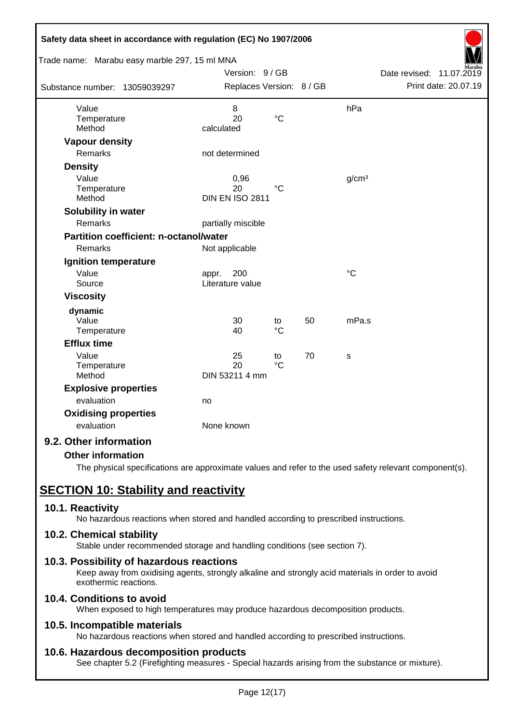| Safety data sheet in accordance with regulation (EC) No 1907/2006 |                                      |                       |    |                   |                             |
|-------------------------------------------------------------------|--------------------------------------|-----------------------|----|-------------------|-----------------------------|
| Trade name: Marabu easy marble 297, 15 ml MNA                     |                                      |                       |    |                   |                             |
|                                                                   | Version: 9 / GB                      |                       |    |                   | Date revised:<br>11.07.2019 |
| Substance number: 13059039297                                     | Replaces Version: 8 / GB             |                       |    |                   | Print date: 20.07.19        |
| Value                                                             | 8                                    |                       |    | hPa               |                             |
| Temperature<br>Method                                             | 20<br>calculated                     | $\rm ^{\circ}C$       |    |                   |                             |
| <b>Vapour density</b>                                             |                                      |                       |    |                   |                             |
| Remarks                                                           | not determined                       |                       |    |                   |                             |
| <b>Density</b>                                                    |                                      |                       |    |                   |                             |
| Value<br>Temperature<br>Method                                    | 0,96<br>20<br><b>DIN EN ISO 2811</b> | $^{\circ}C$           |    | g/cm <sup>3</sup> |                             |
| <b>Solubility in water</b>                                        |                                      |                       |    |                   |                             |
| <b>Remarks</b>                                                    | partially miscible                   |                       |    |                   |                             |
| <b>Partition coefficient: n-octanol/water</b>                     |                                      |                       |    |                   |                             |
| Remarks                                                           | Not applicable                       |                       |    |                   |                             |
| <b>Ignition temperature</b>                                       |                                      |                       |    |                   |                             |
| Value<br>Source                                                   | 200<br>appr.<br>Literature value     |                       |    | $\rm ^{\circ}C$   |                             |
| <b>Viscosity</b>                                                  |                                      |                       |    |                   |                             |
| dynamic                                                           |                                      |                       |    |                   |                             |
| Value<br>Temperature                                              | 30<br>40                             | to<br>$^{\circ}C$     | 50 | mPa.s             |                             |
| <b>Efflux time</b>                                                |                                      |                       |    |                   |                             |
| Value<br>Temperature<br>Method                                    | 25<br>20<br>DIN 53211 4 mm           | to<br>$\rm ^{\circ}C$ | 70 | S                 |                             |
| <b>Explosive properties</b>                                       |                                      |                       |    |                   |                             |
| evaluation                                                        | no                                   |                       |    |                   |                             |
| <b>Oxidising properties</b>                                       |                                      |                       |    |                   |                             |
| evaluation                                                        | None known                           |                       |    |                   |                             |
| 9.2. Other information                                            |                                      |                       |    |                   |                             |

### **Other information**

The physical specifications are approximate values and refer to the used safety relevant component(s).

# **SECTION 10: Stability and reactivity**

### **10.1. Reactivity**

No hazardous reactions when stored and handled according to prescribed instructions.

### **10.2. Chemical stability**

Stable under recommended storage and handling conditions (see section 7).

### **10.3. Possibility of hazardous reactions**

Keep away from oxidising agents, strongly alkaline and strongly acid materials in order to avoid exothermic reactions.

# **10.4. Conditions to avoid**

When exposed to high temperatures may produce hazardous decomposition products.

### **10.5. Incompatible materials**

No hazardous reactions when stored and handled according to prescribed instructions.

### **10.6. Hazardous decomposition products**

See chapter 5.2 (Firefighting measures - Special hazards arising from the substance or mixture).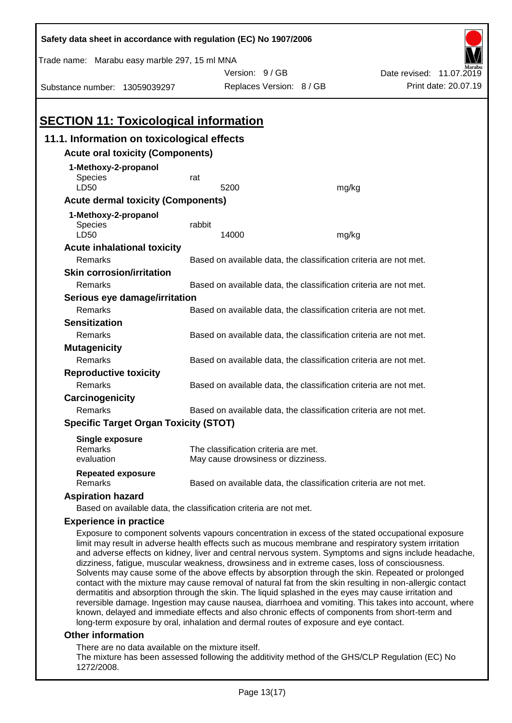| Safety data sheet in accordance with regulation (EC) No 1907/2006                                                                                                                                                                                                                                                                                                                                                                                                                                                                                                                                                                                                                                                                                |                                                                   |                                                                            |       |                             |  |
|--------------------------------------------------------------------------------------------------------------------------------------------------------------------------------------------------------------------------------------------------------------------------------------------------------------------------------------------------------------------------------------------------------------------------------------------------------------------------------------------------------------------------------------------------------------------------------------------------------------------------------------------------------------------------------------------------------------------------------------------------|-------------------------------------------------------------------|----------------------------------------------------------------------------|-------|-----------------------------|--|
| Trade name: Marabu easy marble 297, 15 ml MNA                                                                                                                                                                                                                                                                                                                                                                                                                                                                                                                                                                                                                                                                                                    |                                                                   |                                                                            |       |                             |  |
|                                                                                                                                                                                                                                                                                                                                                                                                                                                                                                                                                                                                                                                                                                                                                  |                                                                   | Version: 9 / GB                                                            |       | Date revised:<br>11.07.2019 |  |
| Substance number: 13059039297                                                                                                                                                                                                                                                                                                                                                                                                                                                                                                                                                                                                                                                                                                                    |                                                                   | Replaces Version: 8 / GB                                                   |       | Print date: 20.07.19        |  |
|                                                                                                                                                                                                                                                                                                                                                                                                                                                                                                                                                                                                                                                                                                                                                  |                                                                   |                                                                            |       |                             |  |
| <b>SECTION 11: Toxicological information</b>                                                                                                                                                                                                                                                                                                                                                                                                                                                                                                                                                                                                                                                                                                     |                                                                   |                                                                            |       |                             |  |
| 11.1. Information on toxicological effects                                                                                                                                                                                                                                                                                                                                                                                                                                                                                                                                                                                                                                                                                                       |                                                                   |                                                                            |       |                             |  |
| <b>Acute oral toxicity (Components)</b>                                                                                                                                                                                                                                                                                                                                                                                                                                                                                                                                                                                                                                                                                                          |                                                                   |                                                                            |       |                             |  |
| 1-Methoxy-2-propanol                                                                                                                                                                                                                                                                                                                                                                                                                                                                                                                                                                                                                                                                                                                             |                                                                   |                                                                            |       |                             |  |
| Species                                                                                                                                                                                                                                                                                                                                                                                                                                                                                                                                                                                                                                                                                                                                          | rat                                                               |                                                                            |       |                             |  |
| LD50                                                                                                                                                                                                                                                                                                                                                                                                                                                                                                                                                                                                                                                                                                                                             |                                                                   | 5200                                                                       | mg/kg |                             |  |
| <b>Acute dermal toxicity (Components)</b>                                                                                                                                                                                                                                                                                                                                                                                                                                                                                                                                                                                                                                                                                                        |                                                                   |                                                                            |       |                             |  |
| 1-Methoxy-2-propanol                                                                                                                                                                                                                                                                                                                                                                                                                                                                                                                                                                                                                                                                                                                             |                                                                   |                                                                            |       |                             |  |
| <b>Species</b>                                                                                                                                                                                                                                                                                                                                                                                                                                                                                                                                                                                                                                                                                                                                   | rabbit                                                            |                                                                            |       |                             |  |
| LD50                                                                                                                                                                                                                                                                                                                                                                                                                                                                                                                                                                                                                                                                                                                                             |                                                                   | 14000                                                                      | mg/kg |                             |  |
| <b>Acute inhalational toxicity</b><br>Remarks                                                                                                                                                                                                                                                                                                                                                                                                                                                                                                                                                                                                                                                                                                    |                                                                   |                                                                            |       |                             |  |
| <b>Skin corrosion/irritation</b>                                                                                                                                                                                                                                                                                                                                                                                                                                                                                                                                                                                                                                                                                                                 |                                                                   | Based on available data, the classification criteria are not met.          |       |                             |  |
| Remarks                                                                                                                                                                                                                                                                                                                                                                                                                                                                                                                                                                                                                                                                                                                                          |                                                                   | Based on available data, the classification criteria are not met.          |       |                             |  |
|                                                                                                                                                                                                                                                                                                                                                                                                                                                                                                                                                                                                                                                                                                                                                  |                                                                   |                                                                            |       |                             |  |
| Serious eye damage/irritation<br>Remarks                                                                                                                                                                                                                                                                                                                                                                                                                                                                                                                                                                                                                                                                                                         |                                                                   |                                                                            |       |                             |  |
|                                                                                                                                                                                                                                                                                                                                                                                                                                                                                                                                                                                                                                                                                                                                                  |                                                                   | Based on available data, the classification criteria are not met.          |       |                             |  |
| <b>Sensitization</b><br>Remarks                                                                                                                                                                                                                                                                                                                                                                                                                                                                                                                                                                                                                                                                                                                  |                                                                   |                                                                            |       |                             |  |
|                                                                                                                                                                                                                                                                                                                                                                                                                                                                                                                                                                                                                                                                                                                                                  |                                                                   | Based on available data, the classification criteria are not met.          |       |                             |  |
| <b>Mutagenicity</b>                                                                                                                                                                                                                                                                                                                                                                                                                                                                                                                                                                                                                                                                                                                              | Remarks                                                           |                                                                            |       |                             |  |
|                                                                                                                                                                                                                                                                                                                                                                                                                                                                                                                                                                                                                                                                                                                                                  | Based on available data, the classification criteria are not met. |                                                                            |       |                             |  |
| <b>Reproductive toxicity</b><br>Remarks<br>Based on available data, the classification criteria are not met.                                                                                                                                                                                                                                                                                                                                                                                                                                                                                                                                                                                                                                     |                                                                   |                                                                            |       |                             |  |
|                                                                                                                                                                                                                                                                                                                                                                                                                                                                                                                                                                                                                                                                                                                                                  |                                                                   |                                                                            |       |                             |  |
| Carcinogenicity<br>Remarks                                                                                                                                                                                                                                                                                                                                                                                                                                                                                                                                                                                                                                                                                                                       |                                                                   |                                                                            |       |                             |  |
| Based on available data, the classification criteria are not met.<br><b>Specific Target Organ Toxicity (STOT)</b>                                                                                                                                                                                                                                                                                                                                                                                                                                                                                                                                                                                                                                |                                                                   |                                                                            |       |                             |  |
|                                                                                                                                                                                                                                                                                                                                                                                                                                                                                                                                                                                                                                                                                                                                                  |                                                                   |                                                                            |       |                             |  |
| <b>Single exposure</b>                                                                                                                                                                                                                                                                                                                                                                                                                                                                                                                                                                                                                                                                                                                           |                                                                   |                                                                            |       |                             |  |
| Remarks<br>evaluation                                                                                                                                                                                                                                                                                                                                                                                                                                                                                                                                                                                                                                                                                                                            |                                                                   | The classification criteria are met.<br>May cause drowsiness or dizziness. |       |                             |  |
|                                                                                                                                                                                                                                                                                                                                                                                                                                                                                                                                                                                                                                                                                                                                                  |                                                                   |                                                                            |       |                             |  |
| <b>Repeated exposure</b><br>Remarks                                                                                                                                                                                                                                                                                                                                                                                                                                                                                                                                                                                                                                                                                                              |                                                                   | Based on available data, the classification criteria are not met.          |       |                             |  |
| <b>Aspiration hazard</b>                                                                                                                                                                                                                                                                                                                                                                                                                                                                                                                                                                                                                                                                                                                         |                                                                   |                                                                            |       |                             |  |
| Based on available data, the classification criteria are not met.                                                                                                                                                                                                                                                                                                                                                                                                                                                                                                                                                                                                                                                                                |                                                                   |                                                                            |       |                             |  |
| <b>Experience in practice</b>                                                                                                                                                                                                                                                                                                                                                                                                                                                                                                                                                                                                                                                                                                                    |                                                                   |                                                                            |       |                             |  |
| Exposure to component solvents vapours concentration in excess of the stated occupational exposure<br>limit may result in adverse health effects such as mucous membrane and respiratory system irritation<br>and adverse effects on kidney, liver and central nervous system. Symptoms and signs include headache,<br>dizziness, fatigue, muscular weakness, drowsiness and in extreme cases, loss of consciousness.<br>Solvents may cause some of the above effects by absorption through the skin. Repeated or prolonged<br>contact with the mixture may cause removal of natural fat from the skin resulting in non-allergic contact<br>dermatitis and absorption through the skin. The liquid splashed in the eyes may cause irritation and |                                                                   |                                                                            |       |                             |  |
| reversible damage. Ingestion may cause nausea, diarrhoea and vomiting. This takes into account, where                                                                                                                                                                                                                                                                                                                                                                                                                                                                                                                                                                                                                                            |                                                                   |                                                                            |       |                             |  |

known, delayed and immediate effects and also chronic effects of components from short-term and long-term exposure by oral, inhalation and dermal routes of exposure and eye contact.

### **Other information**

There are no data available on the mixture itself.

The mixture has been assessed following the additivity method of the GHS/CLP Regulation (EC) No 1272/2008.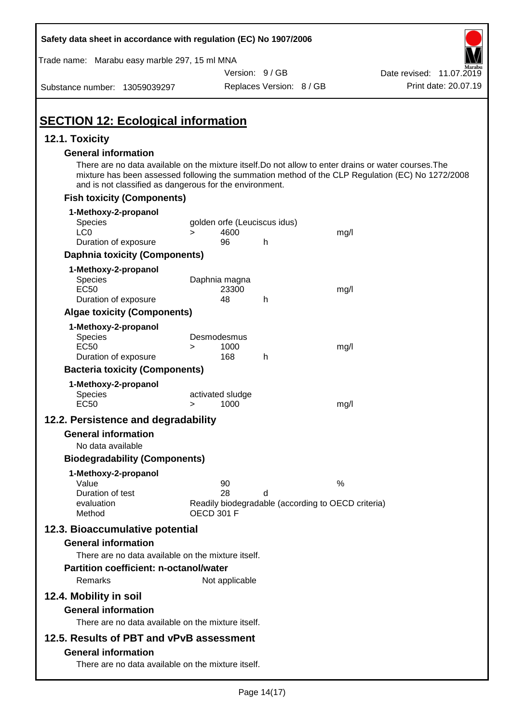| Safety data sheet in accordance with regulation (EC) No 1907/2006                                                                                                                                                                                                                                  |                                                                                     |                          |      |                          |                      |
|----------------------------------------------------------------------------------------------------------------------------------------------------------------------------------------------------------------------------------------------------------------------------------------------------|-------------------------------------------------------------------------------------|--------------------------|------|--------------------------|----------------------|
| Trade name: Marabu easy marble 297, 15 ml MNA                                                                                                                                                                                                                                                      |                                                                                     |                          |      |                          |                      |
|                                                                                                                                                                                                                                                                                                    |                                                                                     | Version: 9/GB            |      | Date revised: 11.07.2019 |                      |
| Substance number: 13059039297                                                                                                                                                                                                                                                                      |                                                                                     | Replaces Version: 8 / GB |      |                          | Print date: 20.07.19 |
| <b>SECTION 12: Ecological information</b>                                                                                                                                                                                                                                                          |                                                                                     |                          |      |                          |                      |
| 12.1. Toxicity                                                                                                                                                                                                                                                                                     |                                                                                     |                          |      |                          |                      |
| <b>General information</b><br>There are no data available on the mixture itself. Do not allow to enter drains or water courses. The<br>mixture has been assessed following the summation method of the CLP Regulation (EC) No 1272/2008<br>and is not classified as dangerous for the environment. |                                                                                     |                          |      |                          |                      |
| <b>Fish toxicity (Components)</b>                                                                                                                                                                                                                                                                  |                                                                                     |                          |      |                          |                      |
| 1-Methoxy-2-propanol<br>Species<br>LC <sub>0</sub>                                                                                                                                                                                                                                                 | golden orfe (Leuciscus idus)<br>4600<br>$\geq$                                      |                          | mg/l |                          |                      |
| Duration of exposure                                                                                                                                                                                                                                                                               | 96                                                                                  | h                        |      |                          |                      |
| <b>Daphnia toxicity (Components)</b>                                                                                                                                                                                                                                                               |                                                                                     |                          |      |                          |                      |
| 1-Methoxy-2-propanol<br>Species<br><b>EC50</b><br>Duration of exposure                                                                                                                                                                                                                             | Daphnia magna<br>23300<br>48                                                        | h                        | mg/l |                          |                      |
| <b>Algae toxicity (Components)</b>                                                                                                                                                                                                                                                                 |                                                                                     |                          |      |                          |                      |
| 1-Methoxy-2-propanol<br><b>Species</b><br><b>EC50</b><br>Duration of exposure                                                                                                                                                                                                                      | Desmodesmus<br>1000<br>><br>168                                                     | h                        | mg/l |                          |                      |
| <b>Bacteria toxicity (Components)</b>                                                                                                                                                                                                                                                              |                                                                                     |                          |      |                          |                      |
| 1-Methoxy-2-propanol                                                                                                                                                                                                                                                                               |                                                                                     |                          |      |                          |                      |
| Species<br><b>EC50</b>                                                                                                                                                                                                                                                                             | activated sludge<br>1000<br>>                                                       |                          | mg/l |                          |                      |
| 12.2. Persistence and degradability                                                                                                                                                                                                                                                                |                                                                                     |                          |      |                          |                      |
| <b>General information</b>                                                                                                                                                                                                                                                                         |                                                                                     |                          |      |                          |                      |
| No data available                                                                                                                                                                                                                                                                                  |                                                                                     |                          |      |                          |                      |
| <b>Biodegradability (Components)</b>                                                                                                                                                                                                                                                               |                                                                                     |                          |      |                          |                      |
| 1-Methoxy-2-propanol<br>Value<br>Duration of test<br>evaluation<br>Method                                                                                                                                                                                                                          | 90<br>28<br>Readily biodegradable (according to OECD criteria)<br><b>OECD 301 F</b> | d                        | %    |                          |                      |
| 12.3. Bioaccumulative potential                                                                                                                                                                                                                                                                    |                                                                                     |                          |      |                          |                      |
| <b>General information</b><br>There are no data available on the mixture itself.<br><b>Partition coefficient: n-octanol/water</b><br>Remarks                                                                                                                                                       | Not applicable                                                                      |                          |      |                          |                      |
| 12.4. Mobility in soil<br><b>General information</b><br>There are no data available on the mixture itself.                                                                                                                                                                                         |                                                                                     |                          |      |                          |                      |
| 12.5. Results of PBT and vPvB assessment<br><b>General information</b><br>There are no data available on the mixture itself.                                                                                                                                                                       |                                                                                     |                          |      |                          |                      |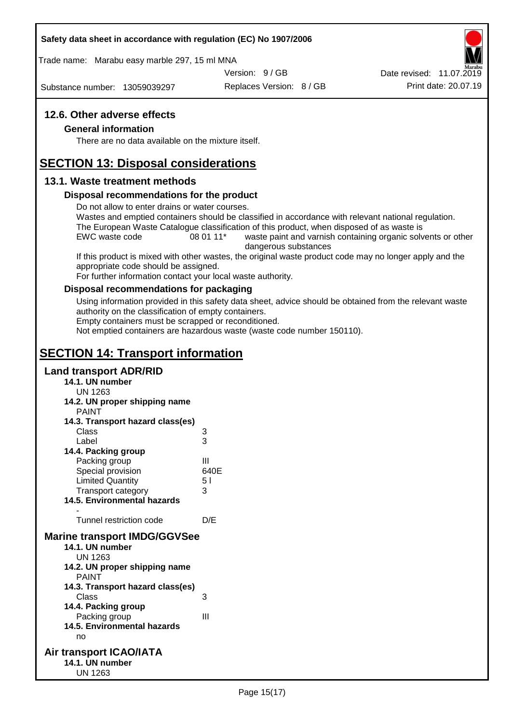### **Safety data sheet in accordance with regulation (EC) No 1907/2006**

Trade name: Marabu easy marble 297, 15 ml MNA

Version: 9 / GB

Substance number: 13059039297

Replaces Version: 8 / GB Print date: 20.07.19 Date revised: 11.07.2019

### **12.6. Other adverse effects**

#### **General information**

There are no data available on the mixture itself.

# **SECTION 13: Disposal considerations**

### **13.1. Waste treatment methods**

### **Disposal recommendations for the product**

Do not allow to enter drains or water courses.

Wastes and emptied containers should be classified in accordance with relevant national regulation. The European Waste Catalogue classification of this product, when disposed of as waste is

EWC waste code 08 01 11<sup>\*</sup> waste paint and varnish containing organic solvents or other dangerous substances

If this product is mixed with other wastes, the original waste product code may no longer apply and the appropriate code should be assigned.

For further information contact your local waste authority.

### **Disposal recommendations for packaging**

Using information provided in this safety data sheet, advice should be obtained from the relevant waste authority on the classification of empty containers.

Empty containers must be scrapped or reconditioned.

Not emptied containers are hazardous waste (waste code number 150110).

# **SECTION 14: Transport information**

### **Land transport ADR/RID**

- **14.1. UN number** UN 1263 **14.2. UN proper shipping name** PAINT **14.3. Transport hazard class(es)** Class 3 Label 3 **14.4. Packing group** Packing group III Special provision 640E Limited Quantity 5 l Transport category 3 **14.5. Environmental hazards** - Tunnel restriction code D/E **Marine transport IMDG/GGVSee 14.1. UN number** UN 1263 **14.2. UN proper shipping name** PAINT **14.3. Transport hazard class(es)** Class 3 **14.4. Packing group** Packing group III **14.5. Environmental hazards** no **Air transport ICAO/IATA 14.1. UN number**
	- UN 1263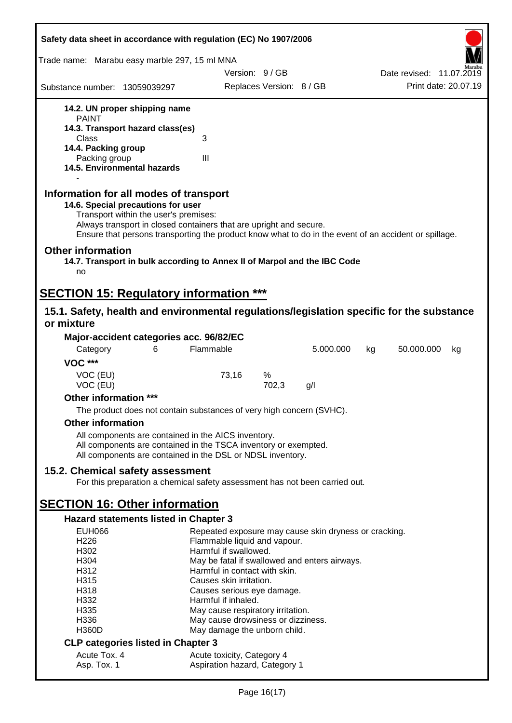| Safety data sheet in accordance with regulation (EC) No 1907/2006                                                                                                                                                                                                                                    |                                                             |                          |           |    |                          |    |
|------------------------------------------------------------------------------------------------------------------------------------------------------------------------------------------------------------------------------------------------------------------------------------------------------|-------------------------------------------------------------|--------------------------|-----------|----|--------------------------|----|
| Trade name: Marabu easy marble 297, 15 ml MNA                                                                                                                                                                                                                                                        |                                                             |                          |           |    |                          |    |
|                                                                                                                                                                                                                                                                                                      | Version: 9/GB                                               |                          |           |    | Date revised: 11.07.2019 |    |
| Substance number: 13059039297                                                                                                                                                                                                                                                                        |                                                             | Replaces Version: 8 / GB |           |    | Print date: 20.07.19     |    |
| 14.2. UN proper shipping name                                                                                                                                                                                                                                                                        |                                                             |                          |           |    |                          |    |
| <b>PAINT</b>                                                                                                                                                                                                                                                                                         |                                                             |                          |           |    |                          |    |
| 14.3. Transport hazard class(es)<br>Class                                                                                                                                                                                                                                                            | 3                                                           |                          |           |    |                          |    |
| 14.4. Packing group                                                                                                                                                                                                                                                                                  |                                                             |                          |           |    |                          |    |
| Packing group                                                                                                                                                                                                                                                                                        | $\mathbf{III}$                                              |                          |           |    |                          |    |
| 14.5. Environmental hazards                                                                                                                                                                                                                                                                          |                                                             |                          |           |    |                          |    |
| Information for all modes of transport<br>14.6. Special precautions for user<br>Transport within the user's premises:<br>Always transport in closed containers that are upright and secure.<br>Ensure that persons transporting the product know what to do in the event of an accident or spillage. |                                                             |                          |           |    |                          |    |
| <b>Other information</b><br>14.7. Transport in bulk according to Annex II of Marpol and the IBC Code                                                                                                                                                                                                 |                                                             |                          |           |    |                          |    |
| no                                                                                                                                                                                                                                                                                                   |                                                             |                          |           |    |                          |    |
| <b>SECTION 15: Regulatory information ***</b>                                                                                                                                                                                                                                                        |                                                             |                          |           |    |                          |    |
| 15.1. Safety, health and environmental regulations/legislation specific for the substance<br>or mixture                                                                                                                                                                                              |                                                             |                          |           |    |                          |    |
| Major-accident categories acc. 96/82/EC                                                                                                                                                                                                                                                              |                                                             |                          |           |    |                          |    |
| Category<br>6                                                                                                                                                                                                                                                                                        | Flammable                                                   |                          | 5.000.000 | kg | 50.000.000               | kg |
| <b>VOC ***</b>                                                                                                                                                                                                                                                                                       |                                                             |                          |           |    |                          |    |
| VOC (EU)                                                                                                                                                                                                                                                                                             | 73,16                                                       | %                        |           |    |                          |    |
| VOC (EU)                                                                                                                                                                                                                                                                                             |                                                             | 702,3                    | g/l       |    |                          |    |
| Other information ***                                                                                                                                                                                                                                                                                |                                                             |                          |           |    |                          |    |
| The product does not contain substances of very high concern (SVHC).                                                                                                                                                                                                                                 |                                                             |                          |           |    |                          |    |
| <b>Other information</b>                                                                                                                                                                                                                                                                             |                                                             |                          |           |    |                          |    |
| All components are contained in the AICS inventory.<br>All components are contained in the TSCA inventory or exempted.<br>All components are contained in the DSL or NDSL inventory.                                                                                                                 |                                                             |                          |           |    |                          |    |
| 15.2. Chemical safety assessment                                                                                                                                                                                                                                                                     |                                                             |                          |           |    |                          |    |
| For this preparation a chemical safety assessment has not been carried out.                                                                                                                                                                                                                          |                                                             |                          |           |    |                          |    |
| <b>SECTION 16: Other information</b>                                                                                                                                                                                                                                                                 |                                                             |                          |           |    |                          |    |
| Hazard statements listed in Chapter 3                                                                                                                                                                                                                                                                |                                                             |                          |           |    |                          |    |
| <b>EUH066</b>                                                                                                                                                                                                                                                                                        | Repeated exposure may cause skin dryness or cracking.       |                          |           |    |                          |    |
| H <sub>226</sub>                                                                                                                                                                                                                                                                                     | Flammable liquid and vapour.                                |                          |           |    |                          |    |
| H <sub>302</sub>                                                                                                                                                                                                                                                                                     | Harmful if swallowed.                                       |                          |           |    |                          |    |
| H304                                                                                                                                                                                                                                                                                                 | May be fatal if swallowed and enters airways.               |                          |           |    |                          |    |
| H312<br>H315                                                                                                                                                                                                                                                                                         | Harmful in contact with skin.<br>Causes skin irritation.    |                          |           |    |                          |    |
| H318                                                                                                                                                                                                                                                                                                 | Causes serious eye damage.                                  |                          |           |    |                          |    |
| H332                                                                                                                                                                                                                                                                                                 | Harmful if inhaled.                                         |                          |           |    |                          |    |
| H335                                                                                                                                                                                                                                                                                                 | May cause respiratory irritation.                           |                          |           |    |                          |    |
| H336<br><b>H360D</b>                                                                                                                                                                                                                                                                                 | May cause drowsiness or dizziness.                          |                          |           |    |                          |    |
|                                                                                                                                                                                                                                                                                                      | May damage the unborn child.                                |                          |           |    |                          |    |
| <b>CLP categories listed in Chapter 3</b>                                                                                                                                                                                                                                                            |                                                             |                          |           |    |                          |    |
| Acute Tox. 4<br>Asp. Tox. 1                                                                                                                                                                                                                                                                          | Acute toxicity, Category 4<br>Aspiration hazard, Category 1 |                          |           |    |                          |    |
|                                                                                                                                                                                                                                                                                                      |                                                             |                          |           |    |                          |    |